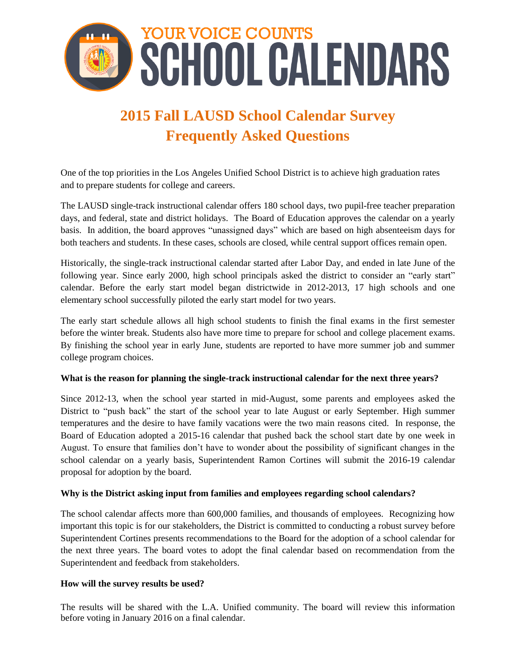

# **2015 Fall LAUSD School Calendar Survey Frequently Asked Questions**

One of the top priorities in the Los Angeles Unified School District is to achieve high graduation rates and to prepare students for college and careers.

The LAUSD single-track instructional calendar offers 180 school days, two pupil-free teacher preparation days, and federal, state and district holidays. The Board of Education approves the calendar on a yearly basis. In addition, the board approves "unassigned days" which are based on high absenteeism days for both teachers and students. In these cases, schools are closed, while central support offices remain open.

Historically, the single-track instructional calendar started after Labor Day, and ended in late June of the following year. Since early 2000, high school principals asked the district to consider an "early start" calendar. Before the early start model began districtwide in 2012-2013, 17 high schools and one elementary school successfully piloted the early start model for two years.

The early start schedule allows all high school students to finish the final exams in the first semester before the winter break. Students also have more time to prepare for school and college placement exams. By finishing the school year in early June, students are reported to have more summer job and summer college program choices.

## **What is the reason for planning the single-track instructional calendar for the next three years?**

Since 2012-13, when the school year started in mid-August, some parents and employees asked the District to "push back" the start of the school year to late August or early September. High summer temperatures and the desire to have family vacations were the two main reasons cited. In response, the Board of Education adopted a 2015-16 calendar that pushed back the school start date by one week in August. To ensure that families don't have to wonder about the possibility of significant changes in the school calendar on a yearly basis, Superintendent Ramon Cortines will submit the 2016-19 calendar proposal for adoption by the board.

## **Why is the District asking input from families and employees regarding school calendars?**

The school calendar affects more than 600,000 families, and thousands of employees. Recognizing how important this topic is for our stakeholders, the District is committed to conducting a robust survey before Superintendent Cortines presents recommendations to the Board for the adoption of a school calendar for the next three years. The board votes to adopt the final calendar based on recommendation from the Superintendent and feedback from stakeholders.

## **How will the survey results be used?**

The results will be shared with the L.A. Unified community. The board will review this information before voting in January 2016 on a final calendar.